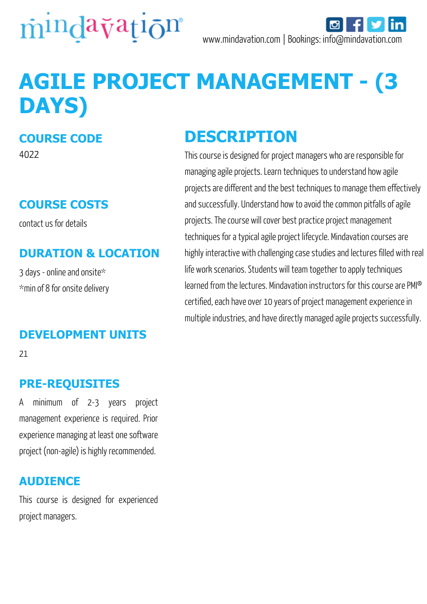

# **AGILE PROJECT MANAGEMENT - (3 DAYS)**

#### **COURSE CODE**

4022

#### **COURSE COSTS**

contact us for details

#### **DURATION & LOCATION**

3 days - online and onsite\* \*min of 8 for onsite delivery

#### **DEVELOPMENT UNITS**

21

#### **PRE-REQUISITES**

A minimum of 2-3 years project management experience is required. Prior experience managing at least one software project (non-agile) is highly recommended.

#### **AUDIENCE**

This course is designed for experienced project managers.

### **DESCRIPTION**

This course is designed for project managers who are responsible for managing agile projects. Learn techniques to understand how agile projects are different and the best techniques to manage them effectively and successfully. Understand how to avoid the common pitfalls of agile projects. The course will cover best practice project management techniques for a typical agile project lifecycle. Mindavation courses are highly interactive with challenging case studies and lectures filled with real life work scenarios. Students will team together to apply techniques learned from the lectures. Mindavation instructors for this course are PMI® certified, each have over 10 years of project management experience in multiple industries, and have directly managed agile projects successfully.